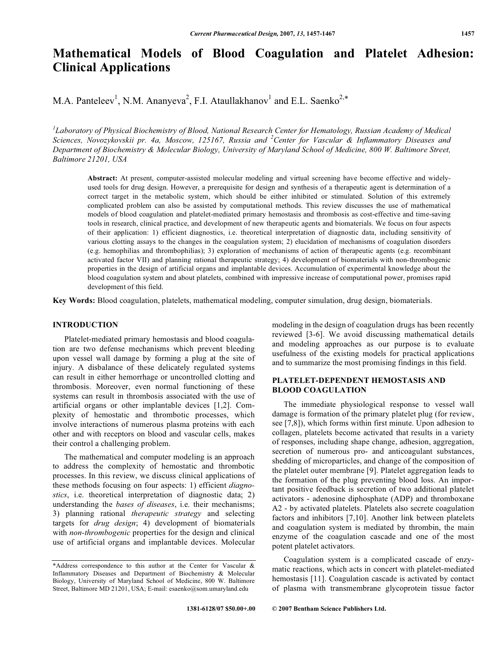# Mathematical Models of Blood Coagulation and Platelet Adhesion: **Clinical Applications**

M.A. Panteleev<sup>1</sup>, N.M. Ananyeva<sup>2</sup>, F.I. Ataullakhanov<sup>1</sup> and E.L. Saenko<sup>2,\*</sup>

 ${}^{l}$ Laboratory of Physical Biochemistry of Blood, National Research Center for Hematology, Russian Academy of Medical Sciences, Novozykovskii pr. 4a, Moscow, 125167, Russia and <sup>2</sup>Center for Vascular & Inflammatory Diseases and Department of Biochemistry & Molecular Biology, University of Maryland School of Medicine, 800 W. Baltimore Street, Baltimore 21201, USA

Abstract: At present, computer-assisted molecular modeling and virtual screening have become effective and widelyused tools for drug design. However, a prerequisite for design and synthesis of a therapeutic agent is determination of a correct target in the metabolic system, which should be either inhibited or stimulated. Solution of this extremely complicated problem can also be assisted by computational methods. This review discusses the use of mathematical models of blood coagulation and platelet-mediated primary hemostasis and thrombosis as cost-effective and time-saving tools in research, clinical practice, and development of new therapeutic agents and biomaterials. We focus on four aspects of their application: 1) efficient diagnostics, i.e. theoretical interpretation of diagnostic data, including sensitivity of various clotting assays to the changes in the coagulation system; 2) elucidation of mechanisms of coagulation disorders (e.g. hemophilias and thrombophilias); 3) exploration of mechanisms of action of therapeutic agents (e.g. recombinant activated factor VII) and planning rational therapeutic strategy; 4) development of biomaterials with non-thrombogenic properties in the design of artificial organs and implantable devices. Accumulation of experimental knowledge about the blood coagulation system and about platelets, combined with impressive increase of computational power, promises rapid development of this field.

Key Words: Blood coagulation, platelets, mathematical modeling, computer simulation, drug design, biomaterials.

#### **INTRODUCTION**

Platelet-mediated primary hemostasis and blood coagulation are two defense mechanisms which prevent bleeding upon vessel wall damage by forming a plug at the site of injury. A disbalance of these delicately regulated systems can result in either hemorrhage or uncontrolled clotting and thrombosis. Moreover, even normal functioning of these systems can result in thrombosis associated with the use of artificial organs or other implantable devices [1,2]. Complexity of hemostatic and thrombotic processes, which involve interactions of numerous plasma proteins with each other and with receptors on blood and vascular cells, makes their control a challenging problem.

The mathematical and computer modeling is an approach to address the complexity of hemostatic and thrombotic processes. In this review, we discuss clinical applications of these methods focusing on four aspects: 1) efficient *diagno*stics, i.e. theoretical interpretation of diagnostic data; 2) understanding the *bases of diseases*, i.e. their mechanisms; 3) planning rational therapeutic strategy and selecting targets for *drug design*; 4) development of biomaterials with non-thrombogenic properties for the design and clinical use of artificial organs and implantable devices. Molecular

modeling in the design of coagulation drugs has been recently reviewed [3-6]. We avoid discussing mathematical details and modeling approaches as our purpose is to evaluate usefulness of the existing models for practical applications and to summarize the most promising findings in this field.

## PLATELET-DEPENDENT HEMOSTASIS AND **BLOOD COAGULATION**

The immediate physiological response to vessel wall damage is formation of the primary platelet plug (for review, see  $[7,8]$ ), which forms within first minute. Upon adhesion to collagen, platelets become activated that results in a variety of responses, including shape change, adhesion, aggregation, secretion of numerous pro- and anticoagulant substances, shedding of microparticles, and change of the composition of the platelet outer membrane [9]. Platelet aggregation leads to the formation of the plug preventing blood loss. An important positive feedback is secretion of two additional platelet activators - adenosine diphosphate (ADP) and thromboxane A2 - by activated platelets. Platelets also secrete coagulation factors and inhibitors [7,10]. Another link between platelets and coagulation system is mediated by thrombin, the main enzyme of the coagulation cascade and one of the most potent platelet activators.

Coagulation system is a complicated cascade of enzymatic reactions, which acts in concert with platelet-mediated hemostasis [11]. Coagulation cascade is activated by contact of plasma with transmembrane glycoprotein tissue factor

<sup>\*</sup>Address correspondence to this author at the Center for Vascular & Inflammatory Diseases and Department of Biochemistry & Molecular Biology, University of Maryland School of Medicine, 800 W. Baltimore Street, Baltimore MD 21201, USA; E-mail: esaenko@som.umaryland.edu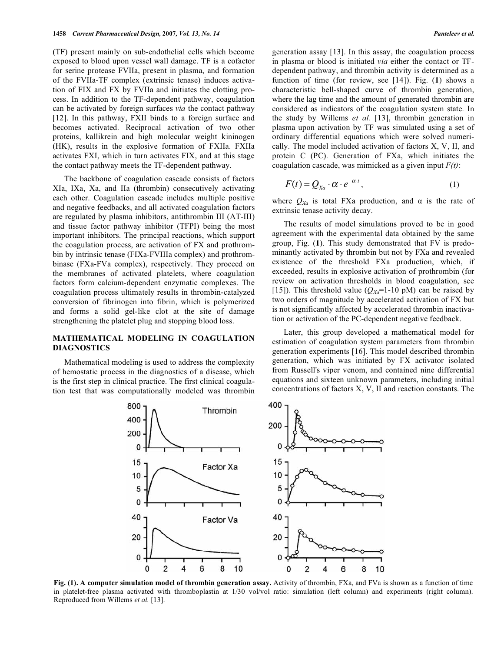(TF) present mainly on sub-endothelial cells which become exposed to blood upon vessel wall damage. TF is a cofactor for serine protease FVIIa, present in plasma, and formation of the FVIIa-TF complex (extrinsic tenase) induces activation of FIX and FX by FVIIa and initiates the clotting process. In addition to the TF-dependent pathway, coagulation can be activated by foreign surfaces via the contact pathway [12]. In this pathway, FXII binds to a foreign surface and becomes activated. Reciprocal activation of two other proteins, kallikrein and high molecular weight kininogen (HK), results in the explosive formation of FXIIa. FXIIa activates FXI, which in turn activates FIX, and at this stage the contact pathway meets the TF-dependent pathway.

The backbone of coagulation cascade consists of factors XIa, IXa, Xa, and IIa (thrombin) consecutively activating each other. Coagulation cascade includes multiple positive and negative feedbacks, and all activated coagulation factors are regulated by plasma inhibitors, antithrombin III (AT-III) and tissue factor pathway inhibitor (TFPI) being the most important inhibitors. The principal reactions, which support the coagulation process, are activation of FX and prothrombin by intrinsic tenase (FIXa-FVIIIa complex) and prothrombinase (FXa-FVa complex), respectively. They proceed on the membranes of activated platelets, where coagulation factors form calcium-dependent enzymatic complexes. The coagulation process ultimately results in thrombin-catalyzed conversion of fibrinogen into fibrin, which is polymerized and forms a solid gel-like clot at the site of damage strengthening the platelet plug and stopping blood loss.

## MATHEMATICAL MODELING IN COAGULATION **DIAGNOSTICS**

Mathematical modeling is used to address the complexity of hemostatic process in the diagnostics of a disease, which is the first step in clinical practice. The first clinical coagulation test that was computationally modeled was thrombin generation assay [13]. In this assay, the coagulation process in plasma or blood is initiated *via* either the contact or TFdependent pathway, and thrombin activity is determined as a function of time (for review, see  $[14]$ ). Fig. (1) shows a characteristic bell-shaped curve of thrombin generation, where the lag time and the amount of generated thrombin are considered as indicators of the coagulation system state. In the study by Willems et al. [13], thrombin generation in plasma upon activation by TF was simulated using a set of ordinary differential equations which were solved numerically. The model included activation of factors X, V, II, and protein C (PC). Generation of FXa, which initiates the coagulation cascade, was mimicked as a given input  $F(t)$ :

$$
F(t) = Q_{Xa} \cdot \alpha \cdot e^{-\alpha \cdot t}, \qquad (1)
$$

where  $Q_{Xa}$  is total FXa production, and  $\alpha$  is the rate of extrinsic tenase activity decay.

The results of model simulations proved to be in good agreement with the experimental data obtained by the same group, Fig. (1). This study demonstrated that FV is predominantly activated by thrombin but not by FXa and revealed existence of the threshold FXa production, which, if exceeded, results in explosive activation of prothrombin (for review on activation thresholds in blood coagulation, see [15]). This threshold value ( $Q_{Xa}$ =1-10 pM) can be raised by two orders of magnitude by accelerated activation of FX but is not significantly affected by accelerated thrombin inactivation or activation of the PC-dependent negative feedback.

Later, this group developed a mathematical model for estimation of coagulation system parameters from thrombin generation experiments [16]. This model described thrombin generation, which was initiated by FX activator isolated from Russell's viper venom, and contained nine differential equations and sixteen unknown parameters, including initial concentrations of factors X, V, II and reaction constants. The



Fig. (1). A computer simulation model of thrombin generation assay. Activity of thrombin, FXa, and FVa is shown as a function of time in platelet-free plasma activated with thromboplastin at 1/30 vol/vol ratio: simulation (left column) and experiments (right column). Reproduced from Willems et al. [13].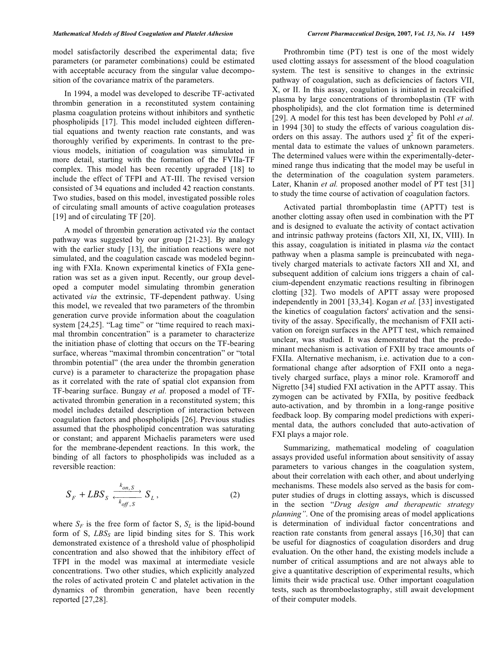model satisfactorily described the experimental data; five parameters (or parameter combinations) could be estimated with acceptable accuracy from the singular value decomposition of the covariance matrix of the parameters.

In 1994, a model was developed to describe TF-activated thrombin generation in a reconstituted system containing plasma coagulation proteins without inhibitors and synthetic phospholipids [17]. This model included eighteen differential equations and twenty reaction rate constants, and was thoroughly verified by experiments. In contrast to the previous models, initiation of coagulation was simulated in more detail, starting with the formation of the FVIIa-TF complex. This model has been recently upgraded [18] to include the effect of TFPI and AT-III. The revised version consisted of 34 equations and included 42 reaction constants. Two studies, based on this model, investigated possible roles of circulating small amounts of active coagulation proteases [19] and of circulating TF [20].

A model of thrombin generation activated via the contact pathway was suggested by our group [21-23]. By analogy with the earlier study  $[13]$ , the initiation reactions were not simulated, and the coagulation cascade was modeled beginning with FXIa. Known experimental kinetics of FXIa generation was set as a given input. Recently, our group developed a computer model simulating thrombin generation activated via the extrinsic, TF-dependent pathway. Using this model, we revealed that two parameters of the thrombin generation curve provide information about the coagulation system [24,25]. "Lag time" or "time required to reach maximal thrombin concentration" is a parameter to characterize the initiation phase of clotting that occurs on the TF-bearing surface, whereas "maximal thrombin concentration" or "total thrombin potential" (the area under the thrombin generation curve) is a parameter to characterize the propagation phase as it correlated with the rate of spatial clot expansion from TF-bearing surface. Bungay et al. proposed a model of TFactivated thrombin generation in a reconstituted system; this model includes detailed description of interaction between coagulation factors and phospholipids [26]. Previous studies assumed that the phospholipid concentration was saturating or constant; and apparent Michaelis parameters were used for the membrane-dependent reactions. In this work, the binding of all factors to phospholipids was included as a reversible reaction:

$$
S_F + LBS_S \xrightarrow[k_{off,S}]{k_{on,S}} S_L, \qquad (2)
$$

where  $S_F$  is the free form of factor S,  $S_L$  is the lipid-bound form of S,  $LBS_S$  are lipid binding sites for S. This work demonstrated existence of a threshold value of phospholipid concentration and also showed that the inhibitory effect of TFPI in the model was maximal at intermediate vesicle concentrations. Two other studies, which explicitly analyzed the roles of activated protein C and platelet activation in the dynamics of thrombin generation, have been recently reported [27,28].

Prothrombin time (PT) test is one of the most widely used clotting assays for assessment of the blood coagulation system. The test is sensitive to changes in the extrinsic pathway of coagulation, such as deficiencies of factors VII, X, or II. In this assay, coagulation is initiated in recalcified plasma by large concentrations of thromboplastin (TF with phospholipids), and the clot formation time is determined [29]. A model for this test has been developed by Pohl et al. in 1994 [30] to study the effects of various coagulation disorders on this assay. The authors used  $\chi^2$  fit of the experimental data to estimate the values of unknown parameters. The determined values were within the experimentally-determined range thus indicating that the model may be useful in the determination of the coagulation system parameters. Later, Khanin et al. proposed another model of PT test [31] to study the time course of activation of coagulation factors.

Activated partial thromboplastin time (APTT) test is another clotting assay often used in combination with the PT and is designed to evaluate the activity of contact activation and intrinsic pathway proteins (factors XII, XI, IX, VIII). In this assay, coagulation is initiated in plasma via the contact pathway when a plasma sample is preincubated with negatively charged materials to activate factors XII and XI, and subsequent addition of calcium ions triggers a chain of calcium-dependent enzymatic reactions resulting in fibrinogen clotting [32]. Two models of APTT assay were proposed independently in 2001 [33,34]. Kogan et al. [33] investigated the kinetics of coagulation factors' activation and the sensitivity of the assay. Specifically, the mechanism of FXII activation on foreign surfaces in the APTT test, which remained unclear, was studied. It was demonstrated that the predominant mechanism is activation of FXII by trace amounts of FXIIa. Alternative mechanism, i.e. activation due to a conformational change after adsorption of FXII onto a negatively charged surface, plays a minor role. Kramoroff and Nigretto [34] studied FXI activation in the APTT assay. This zymogen can be activated by FXIIa, by positive feedback auto-activation, and by thrombin in a long-range positive feedback loop. By comparing model predictions with experimental data, the authors concluded that auto-activation of FXI plays a major role.

Summarizing, mathematical modeling of coagulation assays provided useful information about sensitivity of assay parameters to various changes in the coagulation system, about their correlation with each other, and about underlying mechanisms. These models also served as the basis for computer studies of drugs in clotting assays, which is discussed in the section "Drug design and therapeutic strategy *planning*". One of the promising areas of model applications is determination of individual factor concentrations and reaction rate constants from general assays [16,30] that can be useful for diagnostics of coagulation disorders and drug evaluation. On the other hand, the existing models include a number of critical assumptions and are not always able to give a quantitative description of experimental results, which limits their wide practical use. Other important coagulation tests, such as thromboelastography, still await development of their computer models.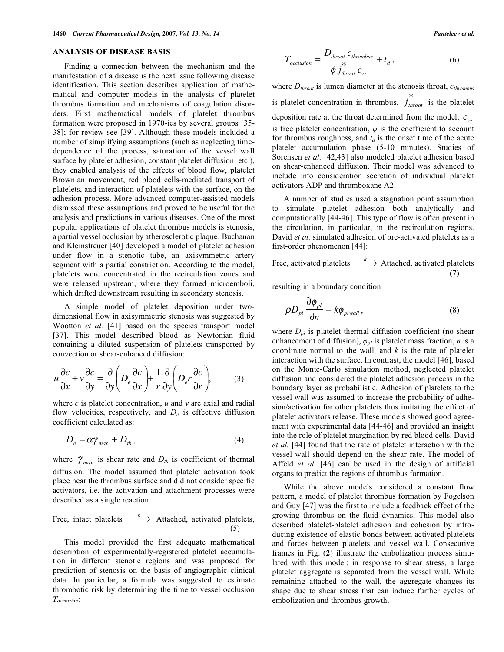#### **ANALYSIS OF DISEASE BASIS**

Finding a connection between the mechanism and the manifestation of a disease is the next issue following disease identification. This section describes application of mathematical and computer models in the analysis of platelet thrombus formation and mechanisms of coagulation disorders. First mathematical models of platelet thrombus formation were proposed in 1970-ies by several groups [35-38]; for review see [39]. Although these models included a number of simplifying assumptions (such as neglecting timedependence of the process, saturation of the vessel wall surface by platelet adhesion, constant platelet diffusion, etc.), they enabled analysis of the effects of blood flow, platelet Brownian movement, red blood cells-mediated transport of platelets, and interaction of platelets with the surface, on the adhesion process. More advanced computer-assisted models dismissed these assumptions and proved to be useful for the analysis and predictions in various diseases. One of the most popular applications of platelet thrombus models is stenosis, a partial vessel occlusion by atherosclerotic plaque. Buchanan and Kleinstreuer [40] developed a model of platelet adhesion under flow in a stenotic tube, an axisymmetric artery segment with a partial constriction. According to the model, platelets were concentrated in the recirculation zones and were released upstream, where they formed microemboli, which drifted downstream resulting in secondary stenosis.

A simple model of platelet deposition under twodimensional flow in axisymmetric stenosis was suggested by Wootton et al. [41] based on the species transport model [37]. This model described blood as Newtonian fluid containing a diluted suspension of platelets transported by convection or shear-enhanced diffusion:

$$
u\frac{\partial c}{\partial x} + v\frac{\partial c}{\partial y} = \frac{\partial}{\partial y}\left(D_e\frac{\partial c}{\partial x}\right) + \frac{1}{r}\frac{\partial}{\partial y}\left(D_e r\frac{\partial c}{\partial r}\right),\tag{3}
$$

where  $c$  is platelet concentration,  $u$  and  $v$  are axial and radial flow velocities, respectively, and  $D_e$  is effective diffusion coefficient calculated as:

$$
D_e = \alpha \gamma_{max} + D_{th},\tag{4}
$$

where  $\gamma_{max}$  is shear rate and  $D_{th}$  is coefficient of thermal diffusion. The model assumed that platelet activation took place near the thrombus surface and did not consider specific activators, i.e. the activation and attachment processes were described as a single reaction:

Free, intact platelets  $\xrightarrow{k}$  Attached, activated platelets,  $(5)$ 

This model provided the first adequate mathematical description of experimentally-registered platelet accumulation in different stenotic regions and was proposed for prediction of stenosis on the basis of angiographic clinical data. In particular, a formula was suggested to estimate thrombotic risk by determining the time to vessel occlusion  $T_{\alpha}$ cclusion:

$$
T_{\text{occlusion}} = \frac{D_{\text{throat}} \, c_{\text{thrombus}}}{\phi \, \dot{J}_{\text{throat}} \, c_{\infty}} + t_d \,,\tag{6}
$$

where  $D_{throat}$  is lumen diameter at the stenosis throat,  $c_{thrombus}$ is platelet concentration in thrombus,  $\dot{f}_{throat}^*$  is the platelet deposition rate at the throat determined from the model,  $c_{\infty}$ 

is free platelet concentration,  $\varphi$  is the coefficient to account for thrombus roughness, and  $t_d$  is the onset time of the acute platelet accumulation phase (5-10 minutes). Studies of Sorensen et al. [42,43] also modeled platelet adhesion based on shear-enhanced diffusion. Their model was advanced to include into consideration secretion of individual platelet activators ADP and thromboxane A2.

A number of studies used a stagnation point assumption to simulate platelet adhesion both analytically and computationally [44-46]. This type of flow is often present in the circulation, in particular, in the recirculation regions. David et al. simulated adhesion of pre-activated platelets as a first-order phenomenon [44]:

Free, activated platelets  $\xrightarrow{k}$  Attached, activated platelets  $(7)$ 

resulting in a boundary condition

$$
\rho D_{pl} \frac{\partial \phi_{pl}}{\partial n} = k \phi_{plwall} , \qquad (8)
$$

where  $D_{pl}$  is platelet thermal diffusion coefficient (no shear enhancement of diffusion),  $\varphi_{nl}$  is platelet mass fraction, *n* is a coordinate normal to the wall, and  $k$  is the rate of platelet interaction with the surface. In contrast, the model [46], based on the Monte-Carlo simulation method, neglected platelet diffusion and considered the platelet adhesion process in the boundary layer as probabilistic. Adhesion of platelets to the vessel wall was assumed to increase the probability of adhesion/activation for other platelets thus imitating the effect of platelet activators release. These models showed good agreement with experimental data [44-46] and provided an insight into the role of platelet margination by red blood cells. David *et al.* [44] found that the rate of platelet interaction with the vessel wall should depend on the shear rate. The model of Affeld *et al.* [46] can be used in the design of artificial organs to predict the regions of thrombus formation.

While the above models considered a constant flow pattern, a model of platelet thrombus formation by Fogelson and Guy [47] was the first to include a feedback effect of the growing thrombus on the fluid dynamics. This model also described platelet-platelet adhesion and cohesion by introducing existence of elastic bonds between activated platelets and forces between platelets and vessel wall. Consecutive frames in Fig. (2) illustrate the embolization process simulated with this model: in response to shear stress, a large platelet aggregate is separated from the vessel wall. While remaining attached to the wall, the aggregate changes its shape due to shear stress that can induce further cycles of embolization and thrombus growth.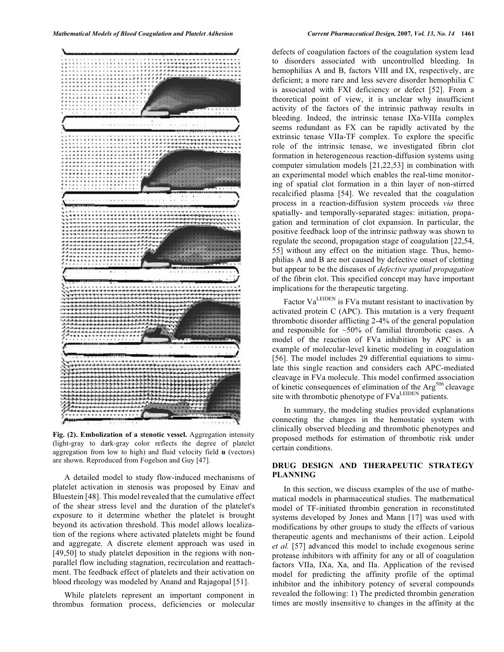

Fig. (2). Embolization of a stenotic vessel. Aggregation intensity (light-gray to dark-gray color reflects the degree of platelet aggregation from low to high) and fluid velocity field **u** (vectors) are shown. Reproduced from Fogelson and Guy [47].

A detailed model to study flow-induced mechanisms of platelet activation in stenosis was proposed by Einav and Bluestein [48]. This model revealed that the cumulative effect of the shear stress level and the duration of the platelet's exposure to it determine whether the platelet is brought beyond its activation threshold. This model allows localization of the regions where activated platelets might be found and aggregate. A discrete element approach was used in [49,50] to study platelet deposition in the regions with nonparallel flow including stagnation, recirculation and reattachment. The feedback effect of platelets and their activation on blood rheology was modeled by Anand and Rajagopal [51].

While platelets represent an important component in thrombus formation process, deficiencies or molecular defects of coagulation factors of the coagulation system lead to disorders associated with uncontrolled bleeding. In hemophilias A and B, factors VIII and IX, respectively, are deficient; a more rare and less severe disorder hemophilia C is associated with FXI deficiency or defect [52]. From a theoretical point of view, it is unclear why insufficient activity of the factors of the intrinsic pathway results in bleeding. Indeed, the intrinsic tenase IXa-VIIIa complex seems redundant as FX can be rapidly activated by the extrinsic tenase VIIa-TF complex. To explore the specific role of the intrinsic tenase, we investigated fibrin clot formation in heterogeneous reaction-diffusion systems using computer simulation models [21,22,53] in combination with an experimental model which enables the real-time monitoring of spatial clot formation in a thin layer of non-stirred recalcified plasma [54]. We revealed that the coagulation process in a reaction-diffusion system proceeds via three spatially- and temporally-separated stages: initiation, propagation and termination of clot expansion. In particular, the positive feedback loop of the intrinsic pathway was shown to regulate the second, propagation stage of coagulation [22,54,] 55] without any effect on the initiation stage. Thus, hemophilias A and B are not caused by defective onset of clotting but appear to be the diseases of *defective spatial propagation* of the fibrin clot. This specified concept may have important implications for the therapeutic targeting.

Factor  $\mathrm{Va}^{\mathrm{LEIDEN}}$  is FVa mutant resistant to inactivation by activated protein C (APC). This mutation is a very frequent thrombotic disorder afflicting 2-4% of the general population and responsible for  $\sim 50\%$  of familial thrombotic cases. A model of the reaction of FVa inhibition by APC is an example of molecular-level kinetic modeling in coagulation [56]. The model includes 29 differential equiations to simulate this single reaction and considers each APC-mediated cleavage in FVa molecule. This model confirmed association of kinetic consequences of elimination of the Arg<sup>506</sup> cleavage site with thrombotic phenotype of FVa<sup>LEIDEN</sup> patients.

In summary, the modeling studies provided explanations connecting the changes in the hemostatic system with clinically observed bleeding and thrombotic phenotypes and proposed methods for estimation of thrombotic risk under certain conditions.

# DRUG DESIGN AND THERAPEUTIC STRATEGY **PLANNING**

In this section, we discuss examples of the use of mathematical models in pharmaceutical studies. The mathematical model of TF-initiated thrombin generation in reconstituted systems developed by Jones and Mann [17] was used with modifications by other groups to study the effects of various therapeutic agents and mechanisms of their action. Leipold et al. [57] advanced this model to include exogenous serine protease inhibitors with affinity for any or all of coagulation factors VIIa, IXa, Xa, and IIa. Application of the revised model for predicting the affinity profile of the optimal inhibitor and the inhibitory potency of several compounds revealed the following: 1) The predicted thrombin generation times are mostly insensitive to changes in the affinity at the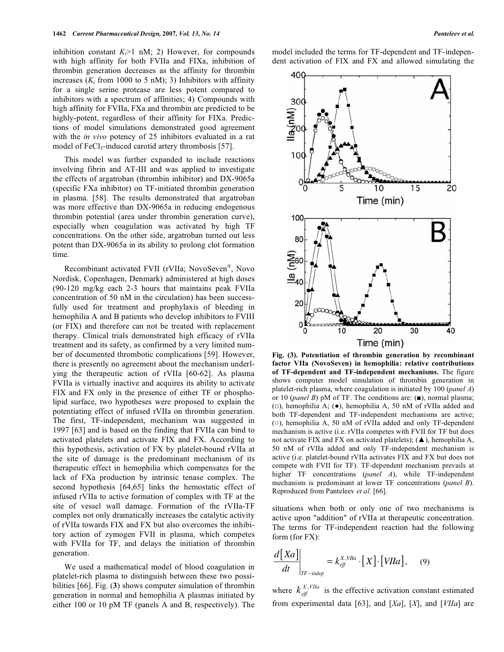inhibition constant  $K > 1$  nM; 2) However, for compounds with high affinity for both FVIIa and FIXa, inhibition of thrombin generation decreases as the affinity for thrombin increases  $(K<sub>i</sub>$  from 1000 to 5 nM); 3) Inhibitors with affinity for a single serine protease are less potent compared to inhibitors with a spectrum of affinities; 4) Compounds with high affinity for FVIIa, FXa and thrombin are predicted to be highly-potent, regardless of their affinity for FIXa. Predictions of model simulations demonstrated good agreement with the *in vivo* potency of 25 inhibitors evaluated in a rat model of FeCl<sub>3</sub>-induced carotid artery thrombosis [57].

This model was further expanded to include reactions involving fibrin and AT-III and was applied to investigate the effects of argatroban (thrombin inhibitor) and DX-9065a (specific FXa inhibitor) on TF-initiated thrombin generation in plasma. [58]. The results demonstrated that argatroban was more effective than DX-9065a in reducing endogenous thrombin potential (area under thrombin generation curve), especially when coagulation was activated by high TF concentrations. On the other side, argatroban turned out less potent than DX-9065a in its ability to prolong clot formation time.

Recombinant activated FVII (rVIIa; NovoSeven®, Novo Nordisk, Copenhagen, Denmark) administered at high doses  $(90-120 \text{ mg/kg}$  each 2-3 hours that maintains peak FVIIa concentration of 50 nM in the circulation) has been successfully used for treatment and prophylaxis of bleeding in hemophilia A and B patients who develop inhibitors to FVIII (or FIX) and therefore can not be treated with replacement therapy. Clinical trials demonstrated high efficacy of rVIIa treatment and its safety, as confirmed by a very limited number of documented thrombotic complications [59]. However, there is presently no agreement about the mechanism underying the therapeutic action of rVIIa [60-62]. As plasma FVIIa is virtually inactive and acquires its ability to activate FIX and FX only in the presence of either TF or phospholipid surface, two hypotheses were proposed to explain the potentiating effect of infused rVIIa on thrombin generation. The first, TF-independent, mechanism was suggested in 1997 [63] and is based on the finding that FVIIa can bind to activated platelets and activate FIX and FX. According to this hypothesis, activation of FX by platelet-bound rVIIa at the site of damage is the predominant mechanism of its therapeutic effect in hemophilia which compensates for the lack of FXa production by intrinsic tenase complex. The second hypothesis [64,65] links the hemostatic effect of infused rVIIa to active formation of complex with TF at the site of vessel wall damage. Formation of the rVIIa-TF complex not only dramatically increases the catalytic activity of rVIIa towards FIX and FX but also overcomes the inhibitory action of zymogen FVII in plasma, which competes with FVIIa for TF, and delays the initiation of thrombin generation.

We used a mathematical model of blood coagulation in platelet-rich plasma to distinguish between these two possibilities  $[66]$ . Fig.  $(3)$  shows computer simulation of thrombin generation in normal and hemophilia A plasmas initiated by either 100 or 10 pM TF (panels A and B, respectively). The model included the terms for TF-dependent and TF-independent activation of FIX and FX and allowed simulating the



Fig. (3). Potentiation of thrombin generation by recombinant factor VIIa (NovoSeven) in hemophilia: relative contributions of TF-dependent and TF-independent mechanisms. The figure shows computer model simulation of thrombin generation in platelet-rich plasma, where coagulation is initiated by 100 (panel A) or 10 (panel B) pM of TF. The conditions are:  $(\blacksquare)$ , normal plasma;  $(\square)$ , hemophilia A; ( $\bullet$ ), hemophilia A, 50 nM of rVIIa added and both TF-dependent and TF-independent mechanisms are active;  $\circ$ ), hemophilia A, 50 nM of rVIIa added and only TF-dependent mechanism is active (*i.e.* rVIIa competes with FVII for TF but does not activate FIX and FX on activated platelets);  $(\triangle)$ , hemophilia A, 50 nM of rVIIa added and only TF-independent mechanism is active (i.e. platelet-bound rVIIa activates FIX and FX but does not compete with FVII for TF). TF-dependent mechanism prevails at higher TF concentrations (panel A), while TF-independent mechanism is predominant at lower TF concentrations (panel B). Reproduced from Panteleev et al. [66].

situations when both or only one of two mechanisms is active upon "addition" of rVIIa at therapeutic concentration. The terms for TF-independent reaction had the following form (for  $FX$ ):

$$
\frac{d[Xa]}{dt}\bigg|_{TF\text{-indep}} = k_{\text{eff}}^{X,\text{VIIa}} \cdot [X] \cdot [VIIa], \quad (9)
$$

where  $k_{\text{eff}}^{X,VIIa}$  is the effective activation constant estimated from experimental data [63], and [Xa], [X], and [VIIa] are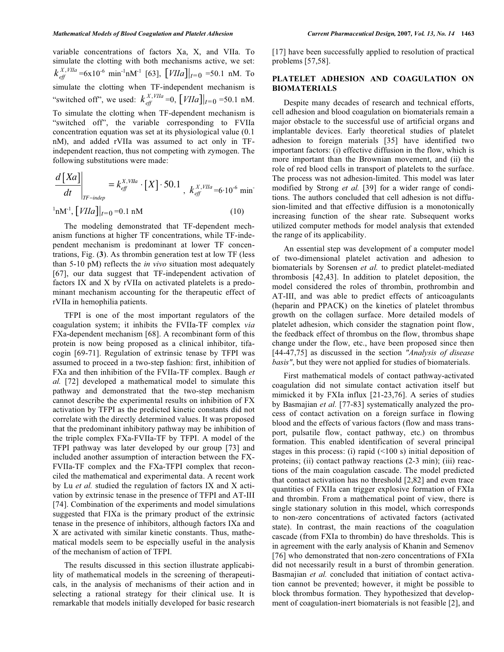variable concentrations of factors Xa, X, and VIIa. To simulate the clotting with both mechanisms active, we set:  $k_{\text{eff}}^{X,VIIa}$  =6x10<sup>-6</sup> min<sup>-1</sup>nM<sup>-1</sup> [63],  $[VIIa]$ <sub> $|t=0$ </sub> =50.1 nM. To simulate the clotting when TF-independent mechanism is "switched off", we used:  $k_{\text{eff}}^{X, VIIa} = 0$ ,  $[VIIa] |_{t=0} = 50.1 \text{ nM}$ . To simulate the clotting when TF-dependent mechanism is "switched off", the variable corresponding to FVIIa concentration equation was set at its physiological value (0.1) nM), and added rVIIa was assumed to act only in TFindependent reaction, thus not competing with zymogen. The following substitutions were made:

$$
\frac{d[Xa]}{dt}\Big|_{TF\text{-indep}} = k_{\text{eff}}^{X,\text{VIIa}} \cdot [X] \cdot 50.1 \, , \, k_{\text{eff}}^{X,\text{VIIa}} = 6 \cdot 10^{-6} \, \text{min}
$$
\n
$$
{}^{1}_{1} \text{n}^{-1}, \, [VIIa] \Big|_{t=0} = 0.1 \, \text{n}^{-1} \, . \tag{10}
$$

The modeling demonstrated that TF-dependent mechanism functions at higher TF concentrations, while TF-independent mechanism is predominant at lower TF concentrations, Fig.  $(3)$ . As thrombin generation test at low TF (less than  $5-10$  pM) reflects the *in vivo* situation most adequately [67], our data suggest that TF-independent activation of factors IX and X by rVIIa on activated platelets is a predominant mechanism accounting for the therapeutic effect of rVIIa in hemophilia patients.

TFPI is one of the most important regulators of the coagulation system; it inhibits the FVIIa-TF complex via FXa-dependent mechanism [68]. A recombinant form of this protein is now being proposed as a clinical inhibitor, tifacogin [69-71]. Regulation of extrinsic tenase by TFPI was assumed to proceed in a two-step fashion: first, inhibition of FXa and then inhibition of the FVIIa-TF complex. Baugh et al. [72] developed a mathematical model to simulate this pathway and demonstrated that the two-step mechanism cannot describe the experimental results on inhibition of FX activation by TFPI as the predicted kinetic constants did not correlate with the directly determined values. It was proposed that the predominant inhibitory pathway may be inhibition of the triple complex FXa-FVIIa-TF by TFPI. A model of the TFPI pathway was later developed by our group [73] and included another assumption of interaction between the FX-FVIIa-TF complex and the FXa-TFPI complex that reconciled the mathematical and experimental data. A recent work by Lu et al. studied the regulation of factors IX and X activation by extrinsic tenase in the presence of TFPI and AT-III [74]. Combination of the experiments and model simulations suggested that FIXa is the primary product of the extrinsic tenase in the presence of inhibitors, although factors IXa and X are activated with similar kinetic constants. Thus, mathematical models seem to be especially useful in the analysis of the mechanism of action of TFPI.

The results discussed in this section illustrate applicability of mathematical models in the screening of therapeuticals, in the analysis of mechanisms of their action and in selecting a rational strategy for their clinical use. It is remarkable that models initially developed for basic research [17] have been successfully applied to resolution of practical problems [57,58].

## PLATELET ADHESION AND COAGULATION ON **BIOMATERIALS**

Despite many decades of research and technical efforts, cell adhesion and blood coagulation on biomaterials remain a major obstacle to the successful use of artificial organs and implantable devices. Early theoretical studies of platelet adhesion to foreign materials [35] have identified two important factors: (i) effective diffusion in the flow, which is more important than the Brownian movement, and (ii) the role of red blood cells in transport of platelets to the surface. The process was not adhesion-limited. This model was later modified by Strong et al. [39] for a wider range of conditions. The authors concluded that cell adhesion is not diffusion-limited and that effective diffusion is a monotonically increasing function of the shear rate. Subsequent works utilized computer methods for model analysis that extended the range of its applicability.

An essential step was development of a computer model of two-dimensional platelet activation and adhesion to biomaterials by Sorensen et al. to predict platelet-mediated thrombosis [42,43]. In addition to platelet deposition, the model considered the roles of thrombin, prothrombin and AT-III, and was able to predict effects of anticoagulants (heparin and PPACK) on the kinetics of platelet thrombus growth on the collagen surface. More detailed models of platelet adhesion, which consider the stagnation point flow, the feedback effect of thrombus on the flow, thrombus shape change under the flow, etc., have been proposed since then [44-47,75] as discussed in the section "Analysis of disease *basis"*, but they were not applied for studies of biomaterials.

First mathematical models of contact pathway-activated coagulation did not simulate contact activation itself but mimicked it by FXIa influx [21-23,76]. A series of studies by Basmajian et al. [77-83] systematically analyzed the process of contact activation on a foreign surface in flowing blood and the effects of various factors (flow and mass transport, pulsatile flow, contact pathway, etc.) on thrombus formation. This enabled identification of several principal stages in this process: (i) rapid  $(\leq 100 \text{ s})$  initial deposition of proteins; (ii) contact pathway reactions (2-3 min); (iii) reactions of the main coagulation cascade. The model predicted that contact activation has no threshold  $[2,82]$  and even trace quantities of FXIIa can trigger explosive formation of FXIa and thrombin. From a mathematical point of view, there is single stationary solution in this model, which corresponds to non-zero concentrations of activated factors (activated state). In contrast, the main reactions of the coagulation cascade (from FXIa to thrombin) do have thresholds. This is in agreement with the early analysis of Khanin and Semenov [76] who demonstrated that non-zero concentrations of FXIa did not necessarily result in a burst of thrombin generation. Basmajian et al. concluded that initiation of contact activation cannot be prevented; however, it might be possible to block thrombus formation. They hypothesized that development of coagulation-inert biomaterials is not feasible [2], and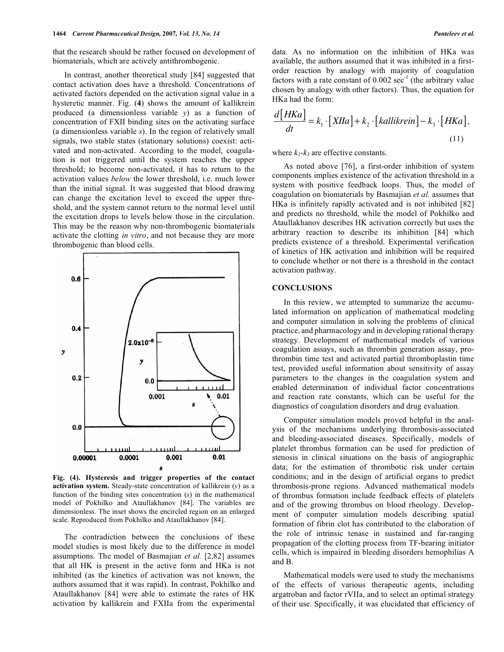that the research should be rather focused on development of biomaterials, which are actively antithrombogenic.

In contrast, another theoretical study [84] suggested that contact activation does have a threshold. Concentrations of activated factors depended on the activation signal value in a hysteretic manner. Fig. (4) shows the amount of kallikrein produced (a dimensionless variable  $y$ ) as a function of concentration of FXII binding sites on the activating surface (a dimensionless variable  $s$ ). In the region of relatively small signals, two stable states (stationary solutions) coexist: activated and non-activated. According to the model, coagulation is not triggered until the system reaches the upper threshold; to become non-activated, it has to return to the activation values *below* the lower threshold, *i.e.* much lower than the initial signal. It was suggested that blood drawing can change the excitation level to exceed the upper threshold, and the system cannot return to the normal level until the excitation drops to levels below those in the circulation. This may be the reason why non-thrombogenic biomaterials activate the clotting in vitro, and not because they are more thrombogenic than blood cells.



Fig. (4). Hysteresis and trigger properties of the contact **activation system.** Steady-state concentration of kallikrein  $(y)$  as a function of the binding sites concentration  $(s)$  in the mathematical model of Pokhilko and Ataullakhanov [84]. The variables are dimensionless. The inset shows the encircled region on an enlarged scale. Reproduced from Pokhilko and Ataullakhanov [84].

The contradiction between the conclusions of these model studies is most likely due to the difference in model assumptions. The model of Basmajian et al. [2,82] assumes that all HK is present in the active form and HKa is not inhibited (as the kinetics of activation was not known, the authors assumed that it was rapid). In contrast, Pokhilko and Ataullakhanov [84] were able to estimate the rates of HK activation by kallikrein and FXIIa from the experimental Panteleev et al.

data. As no information on the inhibition of HKa was available, the authors assumed that it was inhibited in a firstorder reaction by analogy with majority of coagulation factors with a rate constant of  $0.002 \text{ sec}^{-1}$  (the arbitrary value chosen by analogy with other factors). Thus, the equation for HKa had the form:

$$
\frac{d[HKa]}{dt} = k_1 \cdot [XIIa] + k_2 \cdot [kallikrein] - k_3 \cdot [HKa],
$$
\n(11)

where  $k_1$ - $k_3$  are effective constants.

As noted above [76], a first-order inhibition of system components implies existence of the activation threshold in a system with positive feedback loops. Thus, the model of coagulation on biomaterials by Basmajian et al. assumes that HKa is infinitely rapidly activated and is not inhibited [82] and predicts no threshold, while the model of Pokhilko and Ataullakhanov describes HK activation correctly but uses the arbitrary reaction to describe its inhibition [84] which predicts existence of a threshold. Experimental verification of kinetics of HK activation and inhibition will be required to conclude whether or not there is a threshold in the contact activation pathway.

#### **CONCLUSIONS**

In this review, we attempted to summarize the accumulated information on application of mathematical modeling and computer simulation in solving the problems of clinical practice, and pharmacology and in developing rational therapy strategy. Development of mathematical models of various coagulation assays, such as thrombin generation assay, prothrombin time test and activated partial thromboplastin time test, provided useful information about sensitivity of assay parameters to the changes in the coagulation system and enabled determination of individual factor concentrations and reaction rate constants, which can be useful for the diagnostics of coagulation disorders and drug evaluation.

Computer simulation models proved helpful in the analysis of the mechanisms underlying thrombosis-associated and bleeding-associated diseases. Specifically, models of platelet thrombus formation can be used for prediction of stenosis in clinical situations on the basis of angiographic data; for the estimation of thrombotic risk under certain conditions; and in the design of artificial organs to predict thrombosis-prone regions. Advanced mathematical models of thrombus formation include feedback effects of platelets and of the growing thrombus on blood rheology. Development of computer simulation models describing spatial formation of fibrin clot has contributed to the elaboration of the role of intrinsic tenase in sustained and far-ranging propagation of the clotting process from TF-bearing initiator cells, which is impaired in bleeding disorders hemophilias A and B.

Mathematical models were used to study the mechanisms of the effects of various therapeutic agents, including argatroban and factor rVIIa, and to select an optimal strategy of their use. Specifically, it was elucidated that efficiency of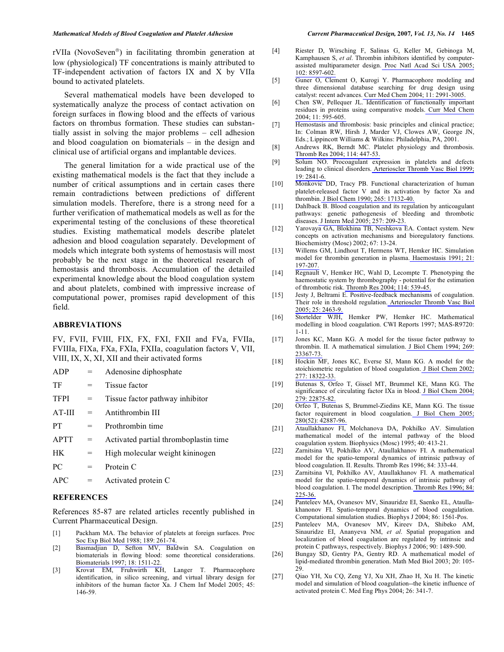rVIIa (NovoSeven<sup>®</sup>) in facilitating thrombin generation at low (physiological) TF concentrations is mainly attributed to TF-independent activation of factors IX and X by VIIa bound to activated platelets.

Several mathematical models have been developed to systematically analyze the process of contact activation on foreign surfaces in flowing blood and the effects of various factors on thrombus formation. These studies can substantially assist in solving the major problems  $-$  cell adhesion and blood coagulation on biomaterials  $-$  in the design and clinical use of artificial organs and implantable devices.

The general limitation for a wide practical use of the existing mathematical models is the fact that they include a number of critical assumptions and in certain cases there remain contradictions between predictions of different simulation models. Therefore, there is a strong need for a further verification of mathematical models as well as for the experimental testing of the conclusions of these theoretical studies. Existing mathematical models describe platelet adhesion and blood coagulation separately. Development of models which integrate both systems of hemostasis will most probably be the next stage in the theoretical research of hemostasis and thrombosis. Accumulation of the detailed experimental knowledge about the blood coagulation system and about platelets, combined with impressive increase of computational power, promises rapid development of this field.

## **ABBREVIATIONS**

FV, FVII, FVIII, FIX, FX, FXI, FXII and FVa, FVIIa, FVIIIa, FIXa, FXa, FXIa, FXIIa, coagulation factors V, VII, VIII, IX, X, XI, XII and their activated forms

| ADP         | $=$ | Adenosine diphosphate                 |
|-------------|-----|---------------------------------------|
| TF          | $=$ | Tissue factor                         |
| <b>TFPI</b> | $=$ | Tissue factor pathway inhibitor       |
| $AT-III$    | $=$ | Antithrombin III                      |
| <b>PT</b>   | $=$ | Prothrombin time                      |
| APTT        | $=$ | Activated partial thromboplastin time |
| <b>HK</b>   | $=$ | High molecular weight kininogen       |
| PC.         | $=$ | Protein C                             |
| <b>APC</b>  |     | Activated protein C                   |

#### **REFERENCES**

References 85-87 are related articles recently published in Current Pharmaceutical Design.

- Packham MA. The behavior of platelets at foreign surfaces. Proc  $[1]$ Soc Exp Biol Med 1988; 189: 261-74.
- Basmadjian D, Sefton MV, Baldwin SA. Coagulation on  $\lceil 2 \rceil$ biomaterials in flowing blood: some theoretical considerations. Biomaterials 1997; 18: 1511-22.
- Krovat EM, Fruhwirth KH, Langer T. Pharmacophore  $[3]$ identification, in silico screening, and virtual library design for inhibitors of the human factor Xa. J Chem Inf Model 2005; 45: 146-59.
- Riester D, Wirsching F, Salinas G, Keller M, Gebinoga M,  $[4]$ Kamphausen S, et al. Thrombin inhibitors identified by computerassisted multiparameter design. Proc Natl Acad Sci USA 2005; 102: 8597-602.
- $[5]$ Guner O, Clement O, Kurogi Y. Pharmacophore modeling and three dimensional database searching for drug design using catalyst: recent advances. Curr Med Chem 2004; 11: 2991-3005.
- $[6]$ Chen SW, Pellequer JL. Identification of functionally important residues in proteins using comparative models. Curr Med Chem 2004; 11: 595-605.
- Hemostasis and thrombosis: basic principles and clinical practice;  $[7]$ In: Colman RW, Hirsh J, Marder VJ, Clowes AW, George JN, Eds.; Lippincott Williams & Wilkins: Philadelphia, PA, 2001.
- Andrews RK, Berndt MC. Platelet physiology and thrombosis.  $\lceil 8 \rceil$ Thromb Res 2004; 114: 447-53.
- Solum NO. Procoagulant expression in platelets and defects  $[9]$ leading to clinical disorders. Arterioscler Thromb Vasc Biol 1999; 19:2841-6.
- $[10]$ Monkovic DD, Tracy PB. Functional characterization of human platelet-released factor V and its activation by factor Xa and thrombin. J Biol Chem 1990; 265: 17132-40.
- $[11]$ Dahlback B. Blood coagulation and its regulation by anticoagulant pathways: genetic pathogenesis of bleeding and thrombotic diseases. J Intern Med 2005; 257: 209-23.
- Yarovaya GA, Blokhina TB, Neshkova EA. Contact system. New  $\lceil 12 \rceil$ concepts on activation mechanisms and bioregulatory functions. Biochemistry (Mosc) 2002; 67: 13-24.
- Willems GM, Lindhout T, Hermens WT, Hemker HC. Simulation  $\lceil 13 \rceil$ model for thrombin generation in plasma. Haemostasis 1991; 21: 197-207
- Regnault V, Hemker HC, Wahl D, Lecompte T. Phenotyping the  $[14]$ haemostatic system by thrombography - potential for the estimation of thrombotic risk. Thromb Res 2004; 114: 539-45.
- $[15]$ Jesty J, Beltrami E. Positive-feedback mechanisms of coagulation. Their role in threshold regulation. Arterioscler Thromb Vasc Biol 2005; 25: 2463-9.
- $[16]$ Stortelder WJH, Hemker PW, Hemker HC. Mathematical modelling in blood coagulation. CWI Reports 1997; MAS-R9720:  $1 - 11.$
- Jones KC, Mann KG. A model for the tissue factor pathway to  $[17]$ thrombin. II. A mathematical simulation. J Biol Chem 1994; 269: 23367-73.
- Hockin MF, Jones KC, Everse SJ, Mann KG. A model for the  $[18]$ stoichiometric regulation of blood coagulation. J Biol Chem 2002; 277: 18322-33.
- Butenas S, Orfeo T, Gissel MT, Brummel KE, Mann KG. The  $[19]$ significance of circulating factor IXa in blood. J Biol Chem 2004; 279: 22875-82.
- $[20]$ Orfeo T, Butenas S, Brummel-Ziedins KE, Mann KG. The tissue factor requirement in blood coagulation. J Biol Chem 2005; 280(52): 42887-96.
- $\lceil 21 \rceil$ Ataullakhanov FI, Molchanova DA, Pokhilko AV. Simulation mathematical model of the internal pathway of the blood coagulation system. Biophysics (Mosc) 1995; 40: 413-21.
- Zarnitsina VI, Pokhilko AV, Ataullakhanov FI. A mathematical  $\lceil 22 \rceil$ model for the spatio-temporal dynamics of intrinsic pathway of blood coagulation. II. Results. Thromb Res 1996; 84: 333-44.
- Zarnitsina VI, Pokhilko AV, Ataullakhanov FI. A mathematical  $[23]$ model for the spatio-temporal dynamics of intrinsic pathway of blood coagulation. I. The model description. Thromb Res 1996; 84: 225-36.
- $[24]$ Panteleev MA, Ovanesov MV, Sinauridze EI, Saenko EL, Ataullakhanonov FI. Spatio-temporal dynamics of blood coagulation. Computational simulation studies. Biophys J 2004; 86: 1561-Pos.
- Panteleev MA, Ovanesov MV, Kireev DA, Shibeko AM,  $[25]$ Sinauridze EI, Ananyeva NM, et al. Spatial propagation and localization of blood coagulation are regulated by intrinsic and protein C pathways, respectively. Biophys J 2006; 90: 1489-500.
- $[26]$ Bungay SD, Gentry PA, Gentry RD. A mathematical model of lipid-mediated thrombin generation. Math Med Biol 2003; 20: 105-29
- $[27]$ Qiao YH, Xu CQ, Zeng YJ, Xu XH, Zhao H, Xu H. The kinetic model and simulation of blood coagulation--the kinetic influence of activated protein C. Med Eng Phys 2004; 26: 341-7.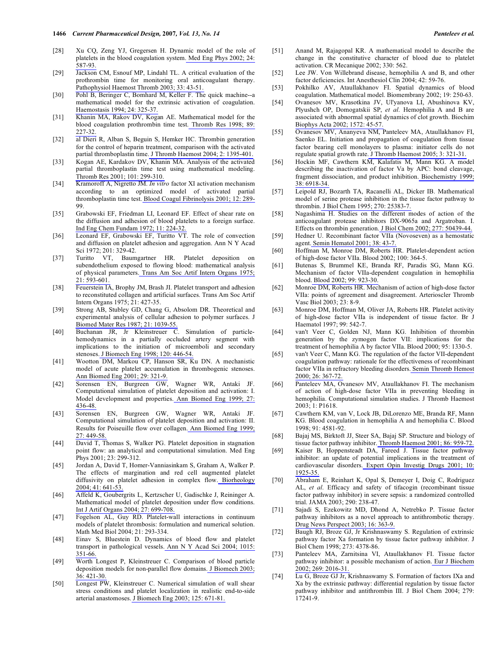- Xu CO, Zeng YJ, Gregersen H. Dynamic model of the role of  $[28]$ platelets in the blood coagulation system. Med Eng Phys 2002; 24: 587-93.
- $[29]$ Jackson CM, Esnouf MP, Lindahl TL. A critical evaluation of the prothrombin time for monitoring oral anticoagulant therapy. Pathophysiol Haemost Thromb 2003; 33: 43-51.
- $[30]$ Pohl B, Beringer C, Bomhard M, Keller F. The quick machine--a mathematical model for the extrinsic activation of coagulation. Haemostasis 1994; 24: 325-37.
- Khanin MA, Rakov DV, Kogan AE. Mathematical model for the  $[31]$ blood coagulation prothrombin time test. Thromb Res 1998; 89: 227-32.
- $[32]$ al Dieri R, Alban S, Beguin S, Hemker HC. Thrombin generation for the control of heparin treatment, comparison with the activated partial thromboplastin time. J Thromb Haemost 2004; 2: 1395-401.
- Kogan AE, Kardakov DV, Khanin MA. Analysis of the activated [33] partial thromboplastin time test using mathematical modeling. Thromb Res 2001; 101: 299-310.
- [34] Kramoroff A, Nigretto JM. In vitro factor XI activation mechanism according to an optimized model of activated partial thromboplastin time test. Blood Coagul Fibrinolysis 2001; 12: 289-99
- $[35]$ Grabowski EF, Friedman LI, Leonard EF. Effect of shear rate on the diffusion and adhesion of blood platelets to a foreign surface. Ind Eng Chem Fundam 1972; 11: 224-32
- Leonard EF, Grabowski EF, Turitto VT. The role of convection  $[36]$ and diffusion on platelet adhesion and aggregation. Ann N Y Acad Sci 1972; 201: 329-42.
- $[37]$ Turitto VT, Baumgartner HR. Platelet deposition on subendothelium exposed to flowing blood: mathematical analysis of physical parameters. Trans Am Soc Artif Intern Organs 1975;  $21:593-601$ .
- $[38]$ Feuerstein IA, Brophy JM, Brash JI. Platelet transport and adhesion to reconstituted collagen and artificial surfaces. Trans Am Soc Artif Intern Organs 1975; 21: 427-35.
- Strong AB, Stubley GD, Chang G, Absolom DR. Theoretical and  $[39]$ experimental analysis of cellular adhesion to polymer surfaces. J Biomed Mater Res 1987; 21: 1039-55.
- $[40]$ Buchanan JR, Jr Kleinstreuer C. Simulation of particlehemodynamics in a partially occluded artery segment with implications to the initiation of microemboli and secondary stenoses. J Biomech Eng 1998; 120: 446-54.
- Wootton DM, Markou CP, Hanson SR, Ku DN. A mechanistic  $[41]$ model of acute platelet accumulation in thrombogenic stenoses. Ann Biomed Eng 2001; 29: 321-9.
- Sorensen EN, Burgreen GW, Wagner WR, Antaki JF.  $[42]$ Computational simulation of platelet deposition and activation: I. Model development and properties. Ann Biomed Eng 1999; 27: 436-48.
- Sorensen EN, Burgreen GW, Wagner WR, Antaki JF.  $[43]$ Computational simulation of platelet deposition and activation: II. Results for Poiseuille flow over collagen. Ann Biomed Eng 1999; 27: 449-58.
- David T, Thomas S, Walker PG. Platelet deposition in stagnation  $[44]$ point flow: an analytical and computational simulation. Med Eng Phys 2001; 23: 299-312.
- $[45]$ Jordan A, David T, Homer-Vanniasinkam S, Graham A, Walker P. The effects of margination and red cell augmented platelet diffusivity on platelet adhesion in complex flow. Biorheology 2004; 41: 641-53.
- $[46]$ Affeld K, Goubergrits L, Kertzscher U, Gadischke J, Reininger A. Mathematical model of platelet deposition under flow conditions. Int J Artif Organs 2004; 27: 699-708.
- $[47]$ Fogelson AL, Guy RD. Platelet-wall interactions in continuum models of platelet thrombosis: formulation and numerical solution. Math Med Biol 2004; 21: 293-334.
- [48] Einav S, Bluestein D. Dynamics of blood flow and platelet transport in pathological vessels. Ann N Y Acad Sci 2004; 1015: 351-66.
- $[49]$ Worth Longest P, Kleinstreuer C. Comparison of blood particle deposition models for non-parallel flow domains. J Biomech 2003;  $36:421-30.$
- $[50]$ Longest PW, Kleinstreuer C. Numerical simulation of wall shear stress conditions and platelet localization in realistic end-to-side arterial anastomoses. J Biomech Eng 2003; 125: 671-81.
- Anand M, Rajagopal KR. A mathematical model to describe the [51] change in the constitutive character of blood due to platelet activation. CR Mecanique 2002; 330: 562.
- $[52]$ Lee JW. Von Willebrand disease, hemophilia A and B, and other factor deficiencies. Int Anesthesiol Clin 2004; 42: 59-76.
- $[53]$ Pokhilko AV, Ataullakhanov FI. Spatial dynamics of blood coagulation. Mathematical model. Biomembrany 2002; 19: 250-63.
- Ovanesov MV, Krasotkina JV, Ul'yanova LI, Abushinova KV,  $[54]$ Plyushch OP, Domogatskii SP, et al. Hemophilia A and B are associated with abnormal spatial dynamics of clot growth. Biochim Biophys Acta 2002; 1572: 45-57.
- Ovanesov MV, Ananyeva NM, Panteleev MA, Ataullakhanov FI,  $[55]$ Saenko EL. Initiation and propagation of coagulation from tissue factor bearing cell monolayers to plasma: initiator cells do not regulate spatial growth rate. J Thromb Haemost 2005; 3: 321-31.
- Hockin MF, Cawthern KM, Kalafatis M, Mann KG. A model  $[56]$ describing the inactivation of factor Va by APC: bond cleavage, fragment dissociation, and product inhibition. Biochemistry 1999; 38:6918-34.
- Leipold RJ, Bozarth TA, Racanelli AL, Dicker IB. Mathematical  $[57]$ model of serine protease inhibition in the tissue factor pathway to thrombin. J Biol Chem 1995; 270: 25383-7.
- Nagashima H. Studies on the different modes of action of the [58] anticoagulant protease inhibitors DX-9065a and Argatroban. I. Effects on thrombin generation. J Biol Chem 2002; 277: 50439-44.
- $[59]$ Hedner U. Recombinant factor VIIa (Novoseven) as a hemostatic agent. Semin Hematol 2001; 38: 43-7.
- Hoffman M, Monroe DM, Roberts HR. Platelet-dependent action  $[60]$ of high-dose factor VIIa. Blood 2002; 100: 364-5.
- $[61]$ Butenas S, Brummel KE, Branda RF, Paradis SG, Mann KG. Mechanism of factor VIIa-dependent coagulation in hemophilia blood. Blood 2002; 99: 923-30.
- $[62]$ Monroe DM, Roberts HR. Mechanism of action of high-dose factor VIIa: points of agreement and disagreement. Arterioscler Thromb Vasc Biol 2003; 23: 8-9.
- Monroe DM, Hoffman M, Oliver JA, Roberts HR. Platelet activity  $[63]$ of high-dose factor VIIa is independent of tissue factor. Br J Haematol 1997; 99: 542-7.
- $[64]$ van't Veer C, Golden NJ, Mann KG. Inhibition of thrombin generation by the zymogen factor VII: implications for the treatment of hemophilia A by factor VIIa. Blood 2000; 95: 1330-5.
- $[65]$ van't Veer C, Mann KG. The regulation of the factor VII-dependent coagulation pathway: rationale for the effectiveness of recombinant factor VIIa in refractory bleeding disorders. Semin Thromb Hemost 2000: 26: 367-72.
- [66] Panteleev MA, Ovanesov MV, Ataullakhanov FI. The mechanism of action of high-dose factor VIIa in preventing bleeding in hemophilia. Computational simulation studies. J Thromb Haemost 2003: 1: P1618.
- Cawthern KM, van V, Lock JB, DiLorenzo ME, Branda RF, Mann  $[67]$ KG. Blood coagulation in hemophilia A and hemophilia C. Blood 1998; 91: 4581-92.
- Bajaj MS, Birktoft JJ, Steer SA, Bajaj SP. Structure and biology of  $[68]$ tissue factor pathway inhibitor. Thromb Haemost 2001; 86: 959-72.
- Kaiser B, Hoppensteadt DA, Fareed J. Tissue factor pathway  $[69]$ inhibitor: an update of potential implications in the treatment of cardiovascular disorders. Expert Opin Investig Drugs 2001; 10: 1925-35.
- Abraham E, Reinhart K, Opal S, Demeyer I, Doig C, Rodriguez  $[70]$ AL, et al. Efficacy and safety of tifacogin (recombinant tissue factor pathway inhibitor) in severe sepsis: a randomized controlled trial. JAMA 2003; 290: 238-47.
- $[71]$ Sajadi S, Ezekowitz MD, Dhond A, Netrebko P. Tissue factor pathway inhibitors as a novel approach to antithrombotic therapy. Drug News Perspect 2003; 16: 363-9.
- Baugh RJ, Broze GJ, Jr Krishnaswamy S. Regulation of extrinsic  $1721$ pathway factor Xa formation by tissue factor pathway inhibitor. J Biol Chem 1998; 273: 4378-86.
- $[73]$ Panteleev MA, Zarnitsina VI, Ataullakhanov FI. Tissue factor pathway inhibitor: a possible mechanism of action. Eur J Biochem 2002; 269: 2016-31.
- Lu G, Broze GJ Jr, Krishnaswamy S. Formation of factors IXa and  $[74]$ Xa by the extrinsic pathway: differential regulation by tissue factor pathway inhibitor and antithrombin III. J Biol Chem 2004; 279: 17241-9.